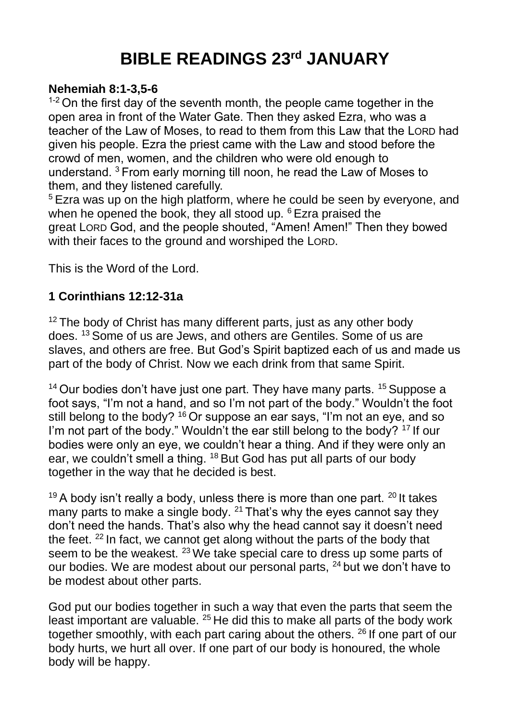## **BIBLE READINGS 23rd JANUARY**

## **Nehemiah 8:1-3,5-6**

 $1-2$  On the first day of the seventh month, the people came together in the open area in front of the Water Gate. Then they asked Ezra, who was a teacher of the Law of Moses, to read to them from this Law that the LORD had given his people. Ezra the priest came with the Law and stood before the crowd of men, women, and the children who were old enough to understand. <sup>3</sup> From early morning till noon, he read the Law of Moses to them, and they listened carefully.

<sup>5</sup> Ezra was up on the high platform, where he could be seen by everyone, and when he opened the book, they all stood up. <sup>6</sup> Ezra praised the great LORD God, and the people shouted, "Amen! Amen!" Then they bowed with their faces to the ground and worshiped the LORD.

This is the Word of the Lord.

## **1 Corinthians 12:12-31a**

 $12$  The body of Christ has many different parts, just as any other body does. <sup>13</sup> Some of us are Jews, and others are Gentiles. Some of us are slaves, and others are free. But God's Spirit baptized each of us and made us part of the body of Christ. Now we each drink from that same Spirit.

 $14$  Our bodies don't have just one part. They have many parts.  $15$  Suppose a foot says, "I'm not a hand, and so I'm not part of the body." Wouldn't the foot still belong to the body? <sup>16</sup> Or suppose an ear says, "I'm not an eye, and so I'm not part of the body." Wouldn't the ear still belong to the body? <sup>17</sup> If our bodies were only an eye, we couldn't hear a thing. And if they were only an ear, we couldn't smell a thing. <sup>18</sup> But God has put all parts of our body together in the way that he decided is best.

 $19$  A body isn't really a body, unless there is more than one part.  $20$  It takes many parts to make a single body.  $21$  That's why the eyes cannot say they don't need the hands. That's also why the head cannot say it doesn't need the feet. <sup>22</sup> In fact, we cannot get along without the parts of the body that seem to be the weakest. <sup>23</sup> We take special care to dress up some parts of our bodies. We are modest about our personal parts, <sup>24</sup> but we don't have to be modest about other parts.

God put our bodies together in such a way that even the parts that seem the least important are valuable. <sup>25</sup> He did this to make all parts of the body work together smoothly, with each part caring about the others. <sup>26</sup> If one part of our body hurts, we hurt all over. If one part of our body is honoured, the whole body will be happy.